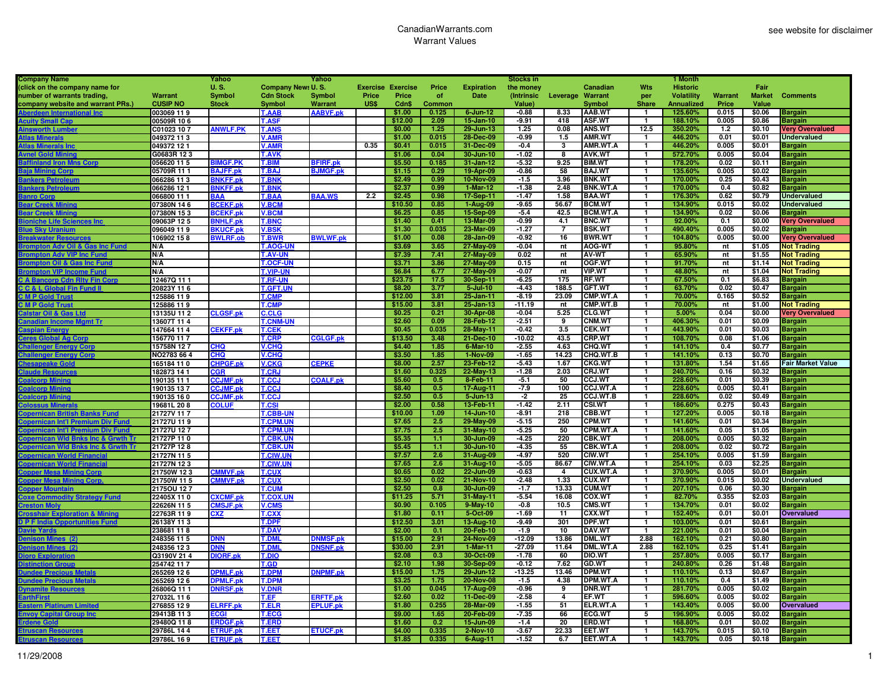| <b>Company Name</b>                                         |                           | Yahoo                   |                          | Yahoo                              |       |                          |                  |                         | <b>Stocks in</b> |                 |                                  |                | 1 Month           |         |                  |                          |
|-------------------------------------------------------------|---------------------------|-------------------------|--------------------------|------------------------------------|-------|--------------------------|------------------|-------------------------|------------------|-----------------|----------------------------------|----------------|-------------------|---------|------------------|--------------------------|
| (click on the company name for                              |                           | <b>U.S.</b>             | <b>Company News U.S.</b> |                                    |       | <b>Exercise Exercise</b> | Price            | <b>Expiration</b>       | the money        |                 | Canadian                         | <b>Wts</b>     | <b>Historic</b>   |         | Fair             |                          |
| number of warrants trading,                                 | Warrant                   | Symbol                  | <b>Cdn Stock</b>         | Symbol                             | Price | Price                    | <b>of</b>        | Date                    | (Intrinsic       | Leverage        | Warrant                          | per            | <b>Volatility</b> | Warrant | <b>Market</b>    | <b>Comments</b>          |
| company website and warrant PRs.)                           | <b>CUSIP NO</b>           | <b>Stock</b>            | Symbol                   | <b>Warrant</b>                     | US\$  | Cdn\$                    | Common           |                         | Value)           |                 | Symbol                           | <b>Share</b>   | Annualized        | Price   | <b>Value</b>     |                          |
| <b>Aberdeen Interna</b>                                     | 003069 119                |                         | <b>T.AAB</b>             | <b>AABVF.pk</b>                    |       | \$1.00                   | 0.125            | $6$ -Jun-12             | $-0.88$          | 8.33            | AAB.WT                           | $\mathbf{1}$   | 125.60%           | 0.015   | \$0.06           | <b>Bargain</b>           |
| <b>Acuity Small Ca</b>                                      | 00509R 106                |                         | <b>T.ASF</b>             |                                    |       | \$12.00                  | 2.09             | 15-Jan-10               | $-9.91$          | 418             | <b>ASF.WT</b>                    | $\overline{1}$ | 188.10%           | 0.005   | \$0.86           | <b>Bargain</b>           |
| <b>Ainsworth Lum</b>                                        | C01023 107                | <b>ANWLF.PK</b>         | <b>T.ANS</b>             |                                    |       | \$0.00                   | 1.25             | 29-Jun-13               | 1.25             | 0.08            | <b>ANS.WT</b>                    | 12.5           | 350.20%           | 1.2     | \$0.10           | <b>Very Overvalued</b>   |
| <b>Atlas Minera</b>                                         | 049372 113                |                         | V.AMR                    |                                    |       | \$1.00                   | 0.015            | 28-Dec-09               | $-0.99$          | 1.5             | <b>AMR.WT</b>                    | $\mathbf{1}$   | 446.20%           | 0.01    | \$0.01           | <b>Undervalued</b>       |
| <b>Atlas Minerals</b>                                       | 049372 12 1               |                         | <b>V.AMR</b>             |                                    | 0.35  | \$0.41                   | 0.015            | 31-Dec-09               | $-0.4$           | 3               | AMR.WT.A                         | $\mathbf{1}$   | 446.20%           | 0.005   | \$0.01           | <b>Bargain</b>           |
|                                                             | G0683R 123                |                         | <b>T.AVK</b>             |                                    |       | \$1.06                   | 0.04             | 30-Jun-10               | $-1.02$          | 8               | <b>AVK.WT</b>                    | T              | 572.70%           | 0.005   | \$0.04           | <b>Bargain</b>           |
| <b>Avnel Gold Mi</b><br><b>Baffinland Iron M</b><br>ns Corp |                           | <b>IMGF.PK</b>          | <b>T.BIM</b>             |                                    |       | \$5.50                   | 0.185            | 31-Jan-12               | $-5.32$          | 9.25            | <b>BIM.WT</b>                    | $\mathbf{1}$   | 178.20%           | 0.02    | \$0.11           |                          |
| <b>Baia Mir</b>                                             | 056620 11 5<br>05709R 111 | <b>BAJFF.pk</b>         | <b>T.BAJ</b>             | <b>BFIRF.pk</b><br><b>BJMGF.pk</b> |       | \$1.15                   | 0.29             | 19-Apr-09               | $-0.86$          | 58              | <b>BAJ.WT</b>                    | $\overline{1}$ | 135.60%           | 0.005   | \$0.02           | <b>Bargain</b>           |
|                                                             |                           |                         |                          |                                    |       |                          |                  |                         |                  | 3.96            |                                  | $\mathbf{1}$   |                   | 0.25    |                  | <b>Bargain</b>           |
| <b>Bankers Petr</b>                                         | 066286 113                | <b>BNKFF.pk</b>         | <b>T.BNK</b>             |                                    |       | \$2.49                   | 0.99             | 10-Nov-09<br>$1-Mar-12$ | $-1.5$           | 2.48            | <b>BNK.WT</b><br><b>BNK.WT.A</b> | $\overline{1}$ | 170.00%           |         | \$0.43<br>\$0.82 | <b>Bargain</b>           |
| <b>Bankers Petrol</b>                                       | 066286 12 1               | <b>BNKFF.pk</b>         | <b>T.BNK</b>             |                                    |       | \$2.37                   | 0.99             |                         | $-1.38$          |                 |                                  |                | 170.00%           | 0.4     | \$0.79           | <b>Bargain</b>           |
| <b>Banro Corp</b>                                           | 066800 11 1               | ЗАА                     | T.BAA                    | <b>BAA.WS</b>                      | 2.2   | \$2.45                   | 0.98             | 17-Sep-11               | $-1.47$          | 1.58            | <b>BAA.WT</b>                    | $\mathbf{1}$   | 176.30%           | 0.62    |                  | <b>Undervalued</b>       |
| <b>Bear Creek Minin</b>                                     | 07380N 14 6               | <b>SCEKF.pk</b>         | <b>V.BCM</b>             |                                    |       | \$10.50                  | 0.85             | $1-Aug-09$              | $-9.65$          | 56.67           | <b>BCM.WT</b>                    | $\mathbf{1}$   | 134.90%           | 0.015   | \$0.02           | <b>Undervalued</b>       |
| <b>Bear Creek Mini</b>                                      | 07380N 153                | <b>CEKF.pk</b>          | <b>V.BCM</b>             |                                    |       | \$6.25                   | 0.85             | 15-Sep-09               | $-5.4$           | 42.5            | <b>BCM.WT.A</b>                  | $\overline{1}$ | 134.90%           | 0.02    | \$0.06           | <b>Bargain</b>           |
| <b>Bioniche Lit</b>                                         | 09063P125                 | <b>BNHLF.pk</b>         | <b>T.BNC</b>             |                                    |       | \$1.40                   | 0.41             | 13-Mar-09               | $-0.99$          | 4.1             | <b>BNC.WT</b>                    | $\mathbf{1}$   | 92.00%            | 0.1     | \$0.00           | <b>Very Overvalued</b>   |
| <mark>3lu<u>e Sky Uranium</u></mark>                        | 096049 119                | <b>BKUCF.pk</b>         | <b>V.BSK</b>             |                                    |       | \$1.30                   | 0.035            | 23-Mar-09               | $-1.27$          | $\overline{7}$  | <b>BSK.WT</b>                    | T              | 490.40%           | 0.005   | \$0.02           | <b>Bargain</b>           |
| <b>Breakwater Resourc</b>                                   | 106902 158                | <b>WLRF.ob</b>          | <b>T.BWR</b>             | <b>BWLWF.pk</b>                    |       | \$1.00                   | 0.08             | 28-Jan-09               | $-0.92$          | 16              | <b>BWR.WT</b>                    | $\mathbf{1}$   | 104.80%           | 0.005   | \$0.00           | <b>Very Overvalued</b>   |
| <b>Brompton Adv Oil &amp; Gas Inc Fund</b>                  | N/A                       |                         | <b>T.AOG-U</b>           |                                    |       | \$3.69                   | 3.65             | 27-May-09               | $-0.04$          | nt              | <b>AOG-WT</b>                    | 1              | 95.80%            | nt      | \$1.05           | <b>Not Trading</b>       |
| <b>Brompton Adv VIP Inc Fund</b>                            | N/A                       |                         | <b>T.AV-UN</b>           |                                    |       | \$7.39                   | 7.41             | 27-May-09               | 0.02             | nt              | <b>AV-WT</b>                     | -1             | 65.90%            | nt      | \$1.55           | <b>Not Trading</b>       |
| <b>Brompton Oil &amp; Gas Inc Fun</b>                       | N/A                       |                         | <b>T.OCF-UN</b>          |                                    |       | \$3.71                   | 3.86             | 27-May-09               | 0.15             | nt              | OGF.WT                           | $\overline{1}$ | 91.70%            | nt      | \$1.14           | <b>Not Trading</b>       |
| <b>Brompton VIP Inc</b><br>ie Fund                          | N/A                       |                         | <b>T.VIP-UN</b>          |                                    |       | \$6.84                   | 6.77             | 27-May-09               | -0.07            | nt              | <b>VIP.WT</b>                    | $\mathbf{1}$   | 48.80%            | nt      | \$1.04           | <b>Not Trading</b>       |
| C A Bancorp Cdn Rity Fin Corp                               | 12467Q 111                |                         | <b>T.RF-UN</b>           |                                    |       | \$23.75                  | 17.5             | 30-Sep-11               | $-6.25$          | 175             | <b>RF.WT</b>                     | $\mathbf{1}$   | 67.50%            | 0.1     | \$6.83           | <b>Bargain</b>           |
| <b>C C &amp; L Global Fin Fund II</b>                       | 20823Y 116                |                         | <b>T.GFT.UN</b>          |                                    |       | \$8.20                   | 3.77             | $5 -$ Jul-10            | $-4.43$          | 188.5           | <b>GFT.WT</b>                    | -1             | 63.70%            | 0.02    | \$0.47           | <b>Bargain</b>           |
| <b>C M P Gold Tru</b>                                       | 125886 119                |                         | <b>T.CMP</b>             |                                    |       | \$12.00                  | 3.81             | 25-Jan-11               | $-8.19$          | 23.09           | CMP.WT.A                         | 1              | 70.00%            | 0.165   | \$0.52           | <b>Bargain</b>           |
| <b>CMP Gold Trus</b>                                        | 125886 119                |                         | <b>T.CMF</b>             |                                    |       | \$15.00                  | 3.81             | 25-Jan-13               | $-11.19$         | nt              | CMP.WT.B                         | $\overline{1}$ | 70.00%            | nt      | \$1.00           | <b>Not Trading</b>       |
| <b>Calstar Oil &amp; Gas Ltd</b>                            | 13135U 11 2               | <b>CLGSF.pk</b>         | <b>C.CLG</b>             |                                    |       | \$0.25                   | 0.21             | 30-Apr-08               | $-0.04$          | 5.25            | <b>CLG.WT</b>                    | T              | 5.00%             | 0.04    | \$0.00           | <b>Very Overvalued</b>   |
| <b>Canadian Incor</b><br>ne Mamt Tr                         | 13607T 114                |                         | <b>T.CNM-UN</b>          |                                    |       | \$2.60                   | 0.09             | 28-Feb-12               | $-2.51$          | 9               | <b>CNM.WT</b>                    | $\mathbf{1}$   | 406.30%           | 0.01    | \$0.09           | <b>Bargain</b>           |
| <b>Caspian Energy</b>                                       | 147664 11 4               | <b>CEKFF.pk</b>         | <b>T.CEK</b>             |                                    |       | \$0.45                   | 0.035            | 28-May-11               | $-0.42$          | 3.5             | <b>CEK.WT</b>                    | $\overline{1}$ | 443.90%           | 0.01    | \$0.03           | <b>Bargain</b>           |
| <b>Ceres Global Ag Corg</b>                                 | 156770 117                |                         | T.CRP                    | <b>CGLGF.pk</b>                    |       | \$13.50                  | 3.48             | 21-Dec-10               | -10.02           | 43.5            | CRP.WT                           | $\mathbf{1}$   | 108.70%           | 0.08    | \$1.06           | Bargain                  |
| <b>Challenger Energy Corp</b>                               | 15758N 127                | <b>CHQ</b>              | V.CHQ                    |                                    |       | \$4.40                   | 1.85             | $6$ -Mar-10             | $-2.55$          | 4.63            | <b>CHQ.WT</b>                    | $\mathbf{1}$   | 141.10%           | 0.4     | \$0.77           | <b>Bargain</b>           |
| <b>Challenger En</b><br>erav Cor                            | NO2783 66 4               | <b>CHQ</b>              | V.CHQ                    |                                    |       | \$3.50                   | 1.85             | 1-Nov-09                | $-1.65$          | 14.23           | CHQ.WT.B                         | T              | 141.10%           | 0.13    | \$0.70           | Bargain                  |
|                                                             | 165184 110                | <b>CHPGF.pk</b>         | <b>V.CKG</b>             | <b>CEPKE</b>                       |       | \$8.00                   | 2.57             | 23-Feb-12               | $-5.43$          | 1.67            | <b>CKG.WT</b>                    | $\mathbf{1}$   | 131.80%           | 1.54    | \$1.65           | <b>Fair Market Value</b> |
| <b>Claude Re</b>                                            | 182873 14 1               | CGR                     | <b>T.CRJ</b>             |                                    |       | \$1.60                   | 0.325            | 22-May-13               | $-1.28$          | 2.03            | CRJ.WT                           | $\mathbf{1}$   | 240.70%           | 0.16    | \$0.32           | <b>Bargain</b>           |
| <b>Coalcorp Mining</b>                                      | 190135 11 1               | <b>CCJMF.pk</b>         | <b>T.CCJ</b>             | <b>COALF.pk</b>                    |       | \$5.60                   | 0.5              | 8-Feb-11                | $-5.1$           | 50              | <b>CCJ.WT</b>                    | $\mathbf{1}$   | 228.60%           | 0.01    | \$0.39           | <b>Bargain</b>           |
| Coalcorp                                                    | 190135 137                | <b>CCJMF.pk</b>         | <b>T.CCJ</b>             |                                    |       | \$8.40                   | 0.5 <sub>0</sub> | 17-Aug-11               | $-7.9$           | 100             | <b>CCJ.WT.A</b>                  | $\mathbf{1}$   | 228.60%           | 0.005   | \$0.41           | <b>Bargain</b>           |
| <b>Coalcorp N</b>                                           | 190135 160                | <b>CCJMF.pk</b>         | <b>T.CCJ</b>             |                                    |       | \$2.50                   | 0.5              | $5 - Jun-13$            | $-2$             | 25              | <b>CCJ.WT.B</b>                  | 1              | 228.60%           | 0.02    | \$0.49           | <b>Bargain</b>           |
| <b>Colossus I</b>                                           |                           | <b>COLUF</b>            | <b>T.CSI</b>             |                                    |       | \$2.00                   | 0.58             | 13-Feb-11               | $-1.42$          | 2.11            | <b>CSI.WT</b>                    | $\overline{1}$ | 186.60%           | 0.275   | \$0.43           |                          |
| nks Fur                                                     | 19681L 208                |                         |                          |                                    |       |                          |                  |                         | -8.91            | 218             |                                  | T              |                   |         |                  | Bargain                  |
| ın Brı                                                      | 21727V 117                |                         | T.CBB-UN                 |                                    |       | \$10.00                  | 1.09             | 14-Jun-10               |                  |                 | <b>CBB.WT</b>                    |                | 127.20%           | 0.005   | \$0.18           | <b>Bargain</b>           |
| im Div Fund<br>can Int'l Pi                                 | 21727U 119                |                         | <b>T.CPM.UN</b>          |                                    |       | \$7.65                   | 2.5              | 29-May-09               | $-5.15$          | 250             | <b>CPM.WT</b>                    | $\mathbf{1}$   | 141.60%           | 0.01    | \$0.34           | <b>Bargain</b>           |
| ın Int'l F                                                  | 21727U 127                |                         | <b>T.CPM.UN</b>          |                                    |       | \$7.75                   | 2.5              | 31-May-10               | $-5.25$          | 50              | CPM.WT.A                         | $\mathbf{1}$   | 141.60%           | 0.05    | \$1.05           | <b>Bargain</b>           |
| an Wid B<br>ks Inc & G<br>rth Tr                            | 21727P 110                |                         | <b>T.CBK.UN</b>          |                                    |       | \$5.35                   | 1.1              | 30-Jun-09               | $-4.25$          | 220             | <b>CBK.WT</b>                    | $\mathbf{1}$   | 208.00%           | 0.005   | \$0.32           | <b>Bargain</b>           |
| <b>Copernican Wid Bnks Inc &amp; Grwth Tr</b>               | 21727P 128                |                         | <b>T.CBK.UN</b>          |                                    |       | \$5.45                   | 1.1              | 30-Jun-10               | $-4.35$          | 55              | <b>CBK.WT.A</b>                  | $\overline{1}$ | 208.00%           | 0.02    | \$0.72           | <b>Bargain</b>           |
| ın World Fi                                                 | 21727N 115                |                         | <b>T.CIW.UN</b>          |                                    |       | \$7.57                   | 2.6              | 31-Aug-09               | $-4.97$          | 520             | <b>CIW.WT</b>                    | $\overline{1}$ | 254.10%           | 0.005   | \$1.59           | <b>Bargain</b>           |
| <b>Copernican World Fin</b>                                 | 21727N 123                |                         | <b>T.CIW.UN</b>          |                                    |       | \$7.65                   | 2.6              | 31-Aug-10               | $-5.05$          | 86.67           | CIW.WT.A                         | $\mathbf{1}$   | 254.10%           | 0.03    | \$2.25           | <b>Bargain</b>           |
| <b>Copper Mesa Mining Corp</b>                              | 21750W 123                | <b>CMMVF.pk</b>         | <b>T.CUX</b>             |                                    |       | \$0.65                   | 0.02             | 22-Jun-09               | $-0.63$          | 4               | <b>CUX.WT.A</b>                  | $\mathbf{1}$   | 370.90%           | 0.005   | \$0.01           | <b>Bargain</b>           |
| <b>Copper Mesa Mining Corp</b>                              | 21750W 115                | <b>CMMVF.pk</b>         | <b>T.CUX</b>             |                                    |       | \$2.50                   | 0.02             | 21-Nov-10               | $-2.48$          | 1.33            | <b>CUX.WT</b>                    | $\mathbf{1}$   | 370.90%           | 0.015   | \$0.02           | <b>Undervalued</b>       |
| <b>Copper Mountain</b>                                      | 2175OU 127                |                         | <b>T.CUM</b>             |                                    |       | \$2.50                   | 0.8              | 30-Jun-09               | $-1.7$           | 13.33           | <b>CUM.WT</b>                    | $\mathbf{1}$   | 207.10%           | 0.06    | \$0.30           | <b>Bargain</b>           |
| <b>Coxe Commodity Strategy Fund</b>                         | 22405X110                 | <b>CXCMF.pk</b>         | <b>T.COX.UN</b>          |                                    |       | \$11.25                  | 5.71             | 31-May-11               | $-5.54$          | 16.08           | COX.WT                           | T              | 82.70%            | 0.355   | \$2.03           | Bargain                  |
| <b>Creston</b> I                                            | 22626N 115                | <b>CMSJF.pk</b>         | <b>V.CMS</b>             |                                    |       | \$0.90                   | 0.105            | 9-May-10                | $-0.8$           | 10.5            | <b>CMS.WT</b>                    | $\mathbf{1}$   | 134.70%           | 0.01    | \$0.02           | <b>Bargain</b>           |
| <b>Crosshair Exploration &amp; Mining</b>                   | 22763R 119                | $\overline{\text{C}XZ}$ | <b>T.CXX</b>             |                                    |       | \$1.80                   | 0.11             | 5-Oct-09                | $-1.69$          | 11              | <b>CXX.WT</b>                    | $\overline{1}$ | 152.40%           | 0.01    | \$0.01           | <b>Overvalued</b>        |
| <b>D P F India Opportunities Fund</b>                       | 26138Y 113                |                         | T.DPF                    |                                    |       | \$12.50                  | 3.01             | 13-Aug-10               | $-9.49$          | 301             | <b>DPF.WT</b>                    | $\mathbf{1}$   | 103.00%           | 0.01    | \$0.61           | <b>Bargain</b>           |
| <b>Davie Yards</b>                                          | 238681 118                |                         | <b>T.DAV</b>             |                                    |       | \$2.00                   | 0.1              | 20-Feb-10               | $-1.9$           | 10              | DAV.WT                           | $\mathbf{1}$   | 221.00%           | 0.01    | \$0.04           | <b>Bargain</b>           |
| <b>Denison Mines (2)</b>                                    | 248356 115                | <b>DNN</b>              | <b>T.DMI</b>             | <b>ONMSF.pk</b>                    |       | \$15.00                  | 2.91             | 24-Nov-09               | $-12.09$         | 13.86           | <b>DML.WT</b>                    | 2.88           | 162.10%           | 0.21    | \$0.80           | <b>Bargain</b>           |
|                                                             | 248356 123                | <b>DNN</b>              | <b>T.DML</b>             | <b>DNSNF.pk</b>                    |       | \$30.00                  | 2.91             | $1-Mar-11$              | $-27.09$         | 11.64           | <b>DML.WT.A</b>                  | 2.88           | 162.10%           | 0.25    | \$1.41           | Bargain                  |
| <b>Dioro Expl</b>                                           | Q3190V 21 4               | <b>DIORF.pk</b>         | <b>T.DIO</b>             |                                    |       | \$2.08                   | 0.3              | 30-Oct-09               | $-1.78$          | 60              | <b>DIO.WT</b>                    | $\mathbf{1}$   | 257.80%           | 0.005   | \$0.17           | <b>Bargain</b>           |
| <b>Distinction Group</b>                                    | 254742 117                |                         | T.GD                     |                                    |       | \$2.10                   | 1.98             | 30-Sep-09               | $-0.12$          | 7.62            | GD.WT                            | $\mathbf{1}$   | 240.80%           | 0.26    | \$1.48           | <b>Bargain</b>           |
| <b>Dundee Precious I</b>                                    | 265269 12 6               | <b>DPMLF.pk</b>         | <b>T.DPM</b>             | <b>DNPMF.pk</b>                    |       | \$15.00                  | 1.75             | 29-Jun-12               | $-13.25$         | 13.46           | <b>DPM.WT</b>                    | $\mathbf{1}$   | 110.10%           | 0.13    | \$0.67           | <b>Bargain</b>           |
| <b>Dundee Precious M</b>                                    | 265269 12 6               | <b>DPMLF.pl</b>         | <b>T.DPM</b>             |                                    |       | \$3.25                   | 1.75             | <b>20-Nov-08</b>        | $-1.5$           | 4.38            | <b>DPM.WT.A</b>                  | $\mathbf{1}$   | 110.10%           | 0.4     | \$1.49           | <b>Bargain</b>           |
|                                                             | 26806Q 111                | <b>DNRSF.pk</b>         | <b>V.DNF</b>             |                                    |       | \$1.00                   | 0.045            | 17-Aug-09               | $-0.96$          | 9               | <b>DNR.WT</b>                    | $\overline{1}$ | 281.70%           | 0.005   | \$0.02           | <b>Bargain</b>           |
| <b>EarthFirst</b>                                           | 27032L 116                |                         | T.EF                     | <b>ERFTF.pk</b>                    |       | \$2.60                   | 0.02             | 11-Dec-09               | $-2.58$          | $\overline{4}$  | EF.WT                            | $\overline{1}$ | 596.60%           | 0.005   | \$0.02           | <b>Bargain</b>           |
| <b>Eastern Platinum Limite</b>                              | 276855 129                | <b>ELRFF.pk</b>         | <b>T.ELR</b>             | <b>EPLUF.pk</b>                    |       | \$1.80                   | 0.255            | 28-Mar-09               | $-1.55$          | 51              | ELR.WT.A                         | $\mathbf{1}$   | 143.40%           | 0.005   | \$0.00           | <b>Overvalued</b>        |
|                                                             | 29413B 113                |                         | <b>T.ECG</b>             |                                    |       | \$9.00                   | 1.65             | 20-Feb-09               | $-7.35$          | 66              | <b>ECG.WT</b>                    | 5              | 196.90%           | 0.005   | \$0.02           | <b>Bargain</b>           |
| <b>Envoy Capital Group In</b><br><b>Erdene Gold</b>         | 29480Q 118                | ECGI<br><b>ERDGF.pk</b> | <b>T.ERD</b>             |                                    |       | \$1.60                   | 0.2              | 15-Jun-09               | $-1.4$           | $\overline{20}$ | ERD.WT                           | T              | 168.80%           | 0.01    | \$0.02           | <b>Bargain</b>           |
|                                                             |                           |                         |                          |                                    |       | \$4.00                   | 0.335            |                         | $-3.67$          | 22.33           | EET.WT                           | $\mathbf{1}$   |                   | 0.015   | \$0.10           |                          |
| <b>Etruscan Resources</b>                                   | 29786L 144                | <b>ETRUF.pk</b>         | <b>T.EET</b>             | <b>ETUCF.pk</b>                    |       |                          |                  | 2-Nov-10                |                  |                 |                                  |                | 143.70%           |         |                  | <b>Bargain</b>           |
| <b>Etruscan R</b>                                           | 29786L 169                | <b>ETRUF.pk</b>         | <b>T.EET</b>             |                                    |       | \$1.85                   | 0.335            | $6 - Aug-11$            | $-1.52$          | 6.7             | EET.WT.A                         | $\overline{1}$ | 143.70%           | 0.05    | \$0.18           | <b>Bargain</b>           |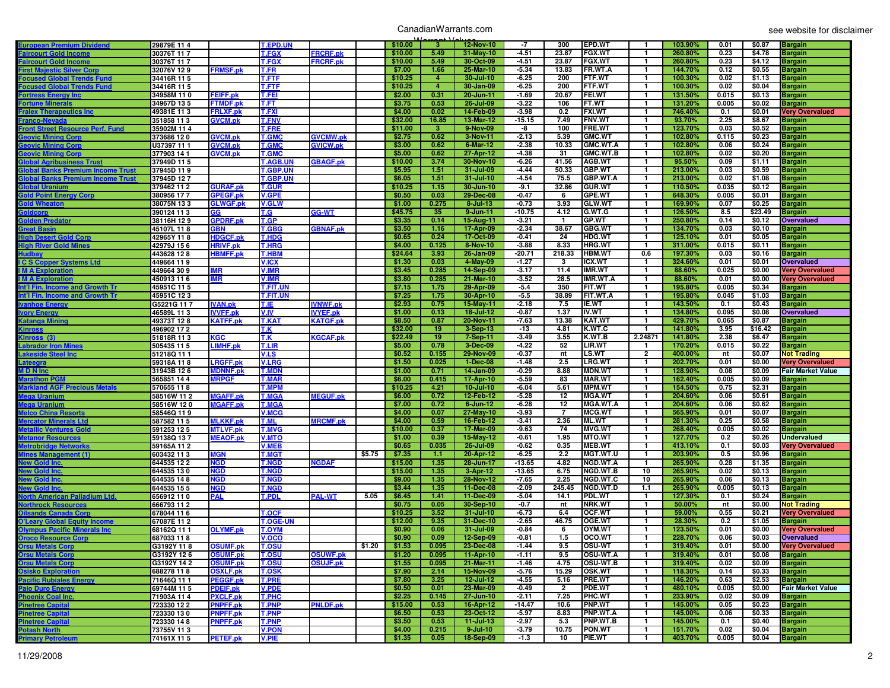## CanadianWarrants.com

| European Premium Dividend                       | 29879E 114               |                                    | T.EPD.UN                     |                 |        | \$10.00           | $\overline{3}$ | 12-Nov-10                   | -7                 | 300            | EPD.WT                           | -1                           | 103.90%            | 0.01          | \$0.87           |                                  |
|-------------------------------------------------|--------------------------|------------------------------------|------------------------------|-----------------|--------|-------------------|----------------|-----------------------------|--------------------|----------------|----------------------------------|------------------------------|--------------------|---------------|------------------|----------------------------------|
|                                                 |                          |                                    |                              |                 |        |                   |                |                             |                    |                |                                  |                              |                    |               |                  | <b>Bargain</b>                   |
| <b>aircourt Gold Incom</b>                      | 30376T 117               |                                    | <b>T.FGX</b>                 | <b>FRCRF.pk</b> |        | \$10.00           | 5.49           | 31-May-10                   | $-4.51$            | 23.87          | <b>FGX.WT</b>                    | $\mathbf{1}$                 | 260.80%            | 0.23          | \$4.78           | <b>Bargain</b>                   |
| <b>Faircourt Gold Incom</b>                     | 30376T 117               |                                    | <b>T.FGX</b>                 | <b>FRCRF.pk</b> |        | \$10.00           | 5.49           | 30-Oct-09                   | $-4.51$            | 23.87          | <b>FGX.WT</b>                    | $\mathbf{1}$                 | 260.80%            | 0.23          | \$4.12           | <b>Bargain</b>                   |
| <b>First Majestic Silver Corp</b>               | 32076V 129               | <b>FRMSF.pk</b>                    | T.FR                         |                 |        | \$7.00            | 1.66           | 25-Mar-10                   | $-5.34$            | 13.83          | FR.WT.A                          | $\mathbf{1}$                 | 144.70%            | 0.12          | \$0.55           | <b>Bargain</b>                   |
| <b>Cocused Global Trends Fund</b>               | 34416R 11 5              |                                    | <b>T.FTF</b>                 |                 |        | \$10.25           | $\overline{4}$ | 30-Jul-10                   | $-6.25$            | 200            | <b>FTF.WT</b>                    | $\mathbf{1}$                 | 100.30%            | 0.02          | \$1.13           | <b>Bargain</b>                   |
| <b>Focused Global Trends Fund</b>               | 34416R 11 5              |                                    | T.FTF                        |                 |        | \$10.25           | $\overline{4}$ | 30-Jan-09                   | $-6.25$            | 200            | <b>FTF.WT</b>                    | 1                            | 100.30%            | 0.02          | \$0.04           | <b>Bargain</b>                   |
| <b>Fortress Energy Inc</b>                      | 34958M 110               | <b>FEIFF.pk</b>                    | T.FEI                        |                 |        | \$2.00            | 0.31           | 20-Jun-11                   | $-1.69$            | 20.67          | <b>FEI.WT</b>                    | $\mathbf{1}$                 | 131.50%            | 0.015         | \$0.13           | <b>Bargain</b>                   |
| Fortune Minerals                                | 34967D 135               | <b>FTMDF.pk</b>                    | T.FT                         |                 |        | \$3.75            | 0.53           | 26-Jul-09                   | $-3.22$            | 106            | FT.WT                            | $\mathbf{1}$                 | 131.20%            | 0.005         | \$0.02           | <b>Bargain</b>                   |
| <b>Fralex Therapeutics Inc</b>                  | 49381E 113               | <b>FRLXF.pk</b>                    | <b>T.FXI</b>                 |                 |        | \$4.00            | 0.02           | 14-Feb-09                   | $-3.98$            | 0.2            | <b>FXI.WT</b>                    | $\mathbf{1}$                 | 746.40%            | 0.1           | \$0.01           | <b>Very Overvalued</b>           |
| Franco-Nevada                                   | 351858 113               | <b>GVCM.pk</b>                     | <b>T.FNV</b>                 |                 |        | \$32.00           | 16.85          | 13-Mar-12                   | $-15.15$           | 7.49           | <b>FNV.WT</b>                    | $\mathbf{1}$                 | 93.70%             | 2.25          | \$8.67           | <b>Bargain</b>                   |
| Front Street Resource Perf. Fund                | 35902M 11 4              |                                    | <b>T.FRE</b>                 |                 |        | \$11.00           | -3.            | 9-Nov-09                    | -8                 | 100            | FRE.WT                           | $\mathbf{1}$                 | 123.70%            | 0.03          | \$0.52           | <b>Bargain</b>                   |
| <u> Seovic Mining Corp</u>                      | 373686 120               | <b>GVCM.pk</b>                     | <b>T.GMC</b>                 | <b>GVCMW.pk</b> |        | \$2.75            | 0.62           | 3-Nov-11                    | $-2.13$            | 5.39           | <b>GMC.WT</b>                    | $\mathbf{1}$                 | 102.80%            | 0.115         | \$0.23           | <b>Bargain</b>                   |
| <b>Geovic Mining Corp</b>                       | U37397 11 1              | <b>GVCM.pk</b>                     | <b>T.GMC</b>                 | <b>GVICW.pk</b> |        | \$3.00            | 0.62           | 6-Mar-12                    | $-2.38$            | 10.33          | <b>GMC.WT.A</b>                  | $\mathbf{1}$                 | 102.80%            | 0.06          | \$0.24           | <b>Bargain</b>                   |
| <u> Seovic Mining Corp</u>                      | 377903 14 1              | <b>GVCM.pk</b>                     | <b>T.GMC</b>                 |                 |        | \$5.00            | 0.62           | 27-Apr-12                   | $-4.38$            | 31             | GMC.WT.B                         | $\mathbf{1}$                 | 102.80%            | 0.02          | \$0.20           | <b>Bargain</b>                   |
| <b>Global Agribusiness Trust</b>                | 37949D 115               |                                    | <b>T.AGB.UN</b>              | <b>GBAGF.pk</b> |        | \$10.00           | 3.74           | 30-Nov-10                   | $-6.26$            | 41.56          | <b>AGB.WT</b>                    | $\mathbf{1}$                 | 95.50%             | 0.09          | \$1.11           | <b>Bargain</b>                   |
| Global Banks Premium Income Trust               | 37945D 119               |                                    | <b>T.GBP.UN</b>              |                 |        | \$5.95            | 1.51           | 31-Jul-09                   | -4.44              | 50.33          | <b>GBP.WT</b>                    | $\mathbf{1}$                 | 213.00%            | 0.03          | \$0.59           | <b>Bargain</b>                   |
| <b>Slobal Banks Premium Income Trust</b>        | 37945D 127               |                                    | <b>T.GBP.UN</b>              |                 |        | \$6.05            | 1.51           | 31-Jul-10                   | $-4.54$            | 75.5           | <b>GBP.WT.A</b>                  | $\mathbf{1}$                 | 213.00%            | 0.02          | \$1.08           | <b>Bargain</b>                   |
| <b>Global Uranium</b>                           | 379462 11 2              | <b>GURAF.pk</b>                    | <b>T.GUR</b>                 |                 |        | \$10.25           | 1.15           | 30-Jun-10                   | $-9.1$             | 32.86          | <b>GUR.WT</b>                    | $\mathbf{1}$                 | 110.50%            | 0.035         | \$0.12           | <b>Bargain</b>                   |
| <b>Gold Point Energy Corp</b>                   | 380956 177               | <b>GPEGF.pk</b>                    | <b>V.GPE</b>                 |                 |        | \$0.50            | 0.03           | 29-Dec-08                   | $-0.47$            | 6              | <b>GPE.WT</b>                    | $\mathbf{1}$                 | 648.30%            | 0.005         | \$0.01           | <b>Bargain</b>                   |
| <b>Gold Wheaton</b>                             | 38075N 133               | <b>GLWGF.pk</b>                    | <b>V.GLW</b>                 |                 |        | \$1.00            | 0.275          | $8 -$ Jul-13                | -0.73              | 3.93           | <b>GLW.WT</b>                    | $\mathbf{1}$                 | 169.90%            | 0.07          | \$0.25           | <b>Bargain</b>                   |
| addcorp                                         | 390124 11 3              | GG                                 | T.G                          | GG-WT           |        | \$45.75           | 35             | $9 - Jun-11$                | $-10.75$           | 4.12           | G.WT.G                           | $\mathbf{1}$                 | 126.50%            | 8.5           | \$23.49          | <b>Bargain</b>                   |
| <b>Solden Predator</b>                          | 38116H 129               | <b>GPDRF.pk</b>                    | T.GP                         |                 |        | \$3.35            | 0.14           | 15-Aug-11                   | $-3.21$            | $\mathbf{1}$   | GP.WT                            | $\mathbf{1}$                 | 250.80%            | 0.14          | \$0.12           | Overvalued                       |
| ìreat Basin                                     | 45107L 118               | GBN                                | T.GBG                        | <b>GBNAF.pk</b> |        | \$3.50            | 1.16           | 17-Apr-09                   | $-2.34$            | 38.67          | GBG.WT                           | $\mathbf{1}$                 | 134.70%            | 0.03          | \$0.10           | <b>Bargain</b>                   |
| igh Desert Gold Corp                            | 42965Y 118               | <b>HDGCF.pk</b>                    | <b>T.HDG</b>                 |                 |        | \$0.65            | 0.24           | 17-Oct-09                   | $-0.41$            | 24             | <b>HDG.WT</b>                    | $\mathbf{1}$                 | 125.10%            | 0.01          | \$0.05           | <b>Bargain</b>                   |
| ligh River Gold Mines                           | 42979J 156               | HRIVF.pk                           | T.HRG                        |                 |        | \$4.00            | 0.125          | 8-Nov-10                    | $-3.88$            | 8.33           | <b>HRG.WT</b>                    | $\mathbf{1}$                 | 311.00%            | 0.015         | \$0.11           | <b>Bargain</b>                   |
| <b>ludbay</b>                                   | 443628 128               | <b>BMFF.pk</b>                     | <b>T.HBM</b>                 |                 |        | \$24.64           | 3.93           | 26-Jan-09                   | $-20.71$           | 218.33         | <b>HBM.WT</b>                    | 0.6                          | 197.30%            | 0.03          | \$0.16           | <b>Bargain</b>                   |
| <b>C S Copper Systems Ltd</b>                   | 449664 119               |                                    | <b>V.ICX</b>                 |                 |        | \$1.30            | 0.03           | 4-May-09                    | $-1.27$            | 3              | <b>ICX.WT</b>                    | $\mathbf{1}$                 | 324.60%            | 0.01          | \$0.01           | Overvalued                       |
| <b>M A Exploration</b>                          | 449664 309               | <b>MR</b>                          | <b>V.IMR</b>                 |                 |        | \$3.45            | 0.285          | 14-Sep-09                   | $-3.17$            | 11.4           | IMR.WT                           | $\mathbf{1}$                 | 88.60%             | 0.025         | \$0.00           | <b>Very Overvalued</b>           |
| <b>M A Exploration</b>                          | 450913 11 6              | MR                                 | V.IMR                        |                 |        | \$3.80            | 0.285          | 21-Mar-10                   | $-3.52$            | 28.5           | IMR.WT.A                         | $\mathbf{1}$                 | 88.60%             | 0.01          | \$0.00           | <b>Very Overvalued</b>           |
| nt'l Fin. Income and Growth Tr                  | 45951C 11 5              |                                    | T.FIT.UN                     |                 |        | \$7.15            | 1.75           | 29-Apr-09                   | $-5.4$             | 350            | FIT.WT                           | $\mathbf{1}$                 | 195.80%            | 0.005         | \$0.34           | <b>Bargain</b>                   |
| nt'l Fin. Income and Growth Tr                  | 45951C 123               |                                    | <b>T.FIT.UN</b>              |                 |        | \$7.25            | 1.75           | 30-Apr-10                   | $-5.5$             | 38.89          | FIT.WT.A                         | $\mathbf{1}$                 | 195.80%            | 0.045         | \$1.03           | <b>Bargain</b>                   |
| vanhoe Energy                                   | G5221G 117               | <b>IVAN.pk</b>                     | T.IE                         | <b>VNWF.pk</b>  |        | \$2.93            | 0.75           | 15-May-11                   | $-2.18$            | 7.5            | <b>E.WT</b>                      | $\mathbf{1}$                 | 143.50%            | 0.1           | \$0.43           | <b>Bargain</b>                   |
| <b>Jory Energy</b>                              | 46589L 113               | <b>IVVFF.pk</b>                    | V.IV                         | <b>IVYEF.pk</b> |        | \$1.00            | 0.13           | $18 -$ Jul-12               | $-0.87$            | 1.37           | IV.WT                            | $\mathbf{1}$                 | 134.80%            | 0.095         | \$0.08           | Overvalued                       |
| <b>Catanga Mining</b>                           | 49373T 128               | <b>KATFF.pk</b>                    | <b>T.KAT</b>                 | <b>KATGF.pk</b> |        | \$8.50            | 0.87           | 20-Nov-11                   | $-7.63$            | 13.38          | KAT.WT                           | $\mathbf{1}$                 | 429.70%            | 0.065         | \$0.87           | <b>Bargain</b>                   |
| (inross                                         | 496902 17 2              |                                    | T.K                          |                 |        | \$32.00           | 19             | 3-Sep-13                    | $-13$              | 4.81           | K.WT.C                           | $\mathbf{1}$                 | 141.80%            | 3.95          | \$16.42          | <b>Bargain</b>                   |
| (inross (3)                                     | 51818R 113               | <b>KGC</b>                         | T.K                          | <b>GCAF.pk</b>  |        | \$22.49           | 19             | 7-Sep-11                    | $-3.49$            | 3.55           | K.WT.B                           | 2.24871                      | 141.80%            | 2.38          | \$6.47           | <b>Bargain</b>                   |
| <b>abrador Iron Mines</b>                       | 505435 11 5              | <b>LIMHF.pk</b>                    | T.LIR                        |                 |        | \$5.00            | 0.78           |                             | $-4.22$            | 52             | LIR.WT                           | $\mathbf{1}$                 | 170.20%            | 0.015         | \$0.22           | <b>Bargain</b>                   |
|                                                 |                          |                                    |                              |                 |        |                   |                |                             |                    |                |                                  |                              |                    |               |                  |                                  |
|                                                 |                          |                                    |                              |                 |        | \$0.52            | 0.155          | 3-Dec-09                    | $-0.37$            | nt             |                                  | $\overline{2}$               | 400.00%            | nt            |                  |                                  |
| <b>akeside Steel Inc.</b>                       | 51218Q 111               |                                    | V.LS                         |                 |        | \$1.50            | 0.025          | 29-Nov-09                   | $-1.48$            | 2.5            | <b>LS.WT</b><br><b>LRG.WT</b>    | 1                            | 202.70%            | 0.01          | \$0.07<br>\$0.00 | <b>Not Trading</b>               |
| .ateegra                                        | 59318A 118               | <b>LRGFF.pk</b>                    | <b>V.LRG</b>                 |                 |        |                   |                | 1-Dec-08                    |                    |                |                                  | $\mathbf{1}$                 |                    |               |                  | <b>Very Overvalued</b>           |
| <b>MDN</b> Inc                                  | 31943B 126               | <b>MDNNF.pk</b>                    | <b>T.MDN</b>                 |                 |        | \$1.00            | 0.71           | 14-Jan-09                   | $-0.29$            | 8.88<br>83     | <b>MDN.WT</b>                    | $\mathbf{1}$                 | 128.90%            | 0.08<br>0.005 | \$0.09           | <b>Fair Market Value</b>         |
| larathon PGN                                    | 565851 144               | <b>MRPGF</b>                       | <b>T.MAR</b><br><b>T.MPM</b> |                 |        | \$6.00<br>\$10.25 | 0.415<br>4.21  | 17-Apr-10                   | $-5.59$<br>$-6.04$ | 5.61           | <b>MAR.WT</b><br><b>MPM.WT</b>   | $\mathbf{1}$                 | 162.40%<br>154.50% | 0.75          | \$0.09<br>\$2.31 | <b>Bargain</b>                   |
| <b>Markland AGF Precious Metals</b>             | 570655 118               |                                    |                              |                 |        | \$6.00            | 0.72           | $10 -$ Jul-10               | $-5.28$            | 12             | <b>MGA.WT</b>                    | $\mathbf{1}$                 | 204.60%            | 0.06          | \$0.61           | <b>Bargain</b>                   |
| lega Uranium<br>lega Uranium                    | 58516W 11 2              | <b>MGAFF.pk</b><br><b>MGAFF.pk</b> | <b>T.MGA</b>                 | <b>MEGUF.pk</b> |        | \$7.00            | 0.72           | 12-Feb-12<br>$6 - Jun - 12$ | $-6.28$            | 12             | <b>MGA.WT.A</b>                  | $\mathbf{1}$                 | 204.60%            | 0.06          | \$0.62           | <b>Bargain</b>                   |
|                                                 | 58516W 120               |                                    | <b>T.MGA</b>                 |                 |        |                   |                |                             |                    | $\overline{7}$ |                                  |                              |                    |               |                  | <b>Bargain</b>                   |
| <b>Melco China Resorts</b>                      | 58546Q 119               |                                    | <b>V.MCG</b>                 |                 |        | \$4.00            | 0.07           | 27-May-10                   | $-3.93$            |                | <b>MCG.WT</b>                    | $\mathbf{1}$                 | 565.90%            | 0.01          | \$0.07           | <b>Bargain</b>                   |
| Mercator Minerals Ltd                           | 587582 11 5              | <b>MLKKF.pk</b>                    | T.ML                         | <b>MRCMF.pk</b> |        | \$4.00            | 0.59           | 16-Feb-12                   | $-3.41$            | 2.36           | <b>ML.WT</b>                     | $\mathbf{1}$                 | 281.30%            | 0.25          | \$0.58           | <b>Bargain</b>                   |
| <b>Metallic Ventu</b><br>es Golc                | 591253 125               | <b>MTLVF.pk</b>                    | <b>T.MVG</b>                 |                 |        | \$10.00           | 0.37           | 17-Mar-09                   | $-9.63$            | 74             | <b>MVG.WT</b>                    | $\mathbf{1}$                 | 268.40%            | 0.005         | \$0.02           | <b>Bargain</b>                   |
| <b>Metanor Resources</b>                        | 59138Q 137               | <b>MEAOF.pk</b>                    | <b>OTM.V</b>                 |                 |        | \$1.00            | 0.39           | 15-May-12                   | $-0.61$            | 1.95           | <b>MTO.WT</b>                    | $\mathbf{1}$                 | 127.70%            | 0.2           | \$0.26           | <b>Undervalued</b>               |
| <b>Metrobridge Networks</b>                     | 59165A 112               |                                    | <b>V.MEB</b>                 |                 | \$5.75 | \$0.65            | 0.035<br>1.1   | 26-Jul-09                   | $-0.62$<br>$-6.25$ | 0.35<br>2.2    | <b>MEB.WT</b><br><b>MGT.WT.U</b> | $\mathbf{1}$<br>$\mathbf{1}$ | 413.10%<br>203.90% | 0.1<br>0.5    | \$0.03           | <b>Very Overvalued</b>           |
| lines Management (1)                            | 603432 113               | MGN                                | <b>T.MGT</b>                 |                 |        | \$7.35            | 1.35           | 20-Apr-12                   | $-13.65$           | 4.82           | <b>NGD.WT.A</b>                  | $\mathbf{1}$                 | 265.90%            | 0.28          | \$0.96           | <b>Bargain</b>                   |
| lew Gold Inc                                    | 644535 12 2              | VGD                                | <b>T.NGD</b>                 | <b>IGDAF</b>    |        | \$15.00           |                | 28-Jun-17                   |                    |                | <b>NGD.WT.B</b>                  |                              |                    |               | \$1.35           | <b>Bargain</b>                   |
| lew Gold Inc                                    | 644535 130               | NGD                                | <b>T.NGD</b>                 |                 |        | \$15.00           | 1.35           | $3-Apr-12$                  | $-13.65$           | 6.75           |                                  | 10                           | 265.90%            | 0.02          | \$0.13           | <b>Bargain</b>                   |
| lew Gold Inc                                    | 644535 148               | <b>NGD</b>                         | <b>T.NGD</b>                 |                 |        | \$9.00            | 1.35           | 28-Nov-12<br>11-Dec-08      | $-7.65$            | 2.25           | NGD.WT.C                         | 10                           | 265.90%            | 0.06          | \$0.13           | <b>Bargain</b>                   |
| lew Gold Inc                                    | 644535 155<br>656912110  | NGD                                | T.NGD                        |                 | 5.05   | \$3.44            | 1.35           | 11-Dec-09                   | $-2.09$            | 245.45<br>14.1 | NGD.WT.D                         | 1.1<br>$\mathbf{1}$          | 265.90%            | 0.005<br>0.1  | \$0.13           | <b>Bargain</b>                   |
| <b>Orth American Palladium Ltd.</b>             |                          | <b>PAL</b>                         | T.PDL                        | <b>PAL-WT</b>   |        | \$6.45            | 1.41           |                             | $-5.04$            |                | PDL.WT                           |                              | 127.30%            |               | \$0.24           | <b>Bargain</b>                   |
| <u>  Jorthrock Resources</u>                    | 666793 11 2              |                                    |                              |                 |        | \$0.75            | 0.05           | 30-Sep-10                   | $-0.7$             | nt             | NRK.WT                           | $\mathbf{1}$                 | 50.00%             | nt            | \$0.00           | <b>Not Trading</b>               |
| <b>Dilsands Canada Corp</b>                     | 678044 11 6              |                                    | <b>T.OCF</b>                 |                 |        | \$10.25           | 3.52           | 31-Jul-10                   | $-6.73$            | 6.4            | OCF.WT                           | $\mathbf{1}$                 | 59.00%             | 0.55          | \$0.21           | <b>Very Overvalued</b>           |
| <b>O'Leary Global Equity Income</b>             | 67087E 112               |                                    | <b>T.OGE-UN</b>              |                 |        | \$12.00           | 9.35           | 31-Dec-10                   | $-2.65$            | 46.75          | <b>OGE.WT</b>                    | $\mathbf{1}$                 | 28.30%             | 0.2           | \$1.05           | <b>Bargain</b>                   |
| <b>Olympus Pacific Minerals Inc</b>             | 68162Q 111               | <b>OLYMF.pk</b>                    | <b>T.OYM</b>                 |                 |        | \$0.90            | 0.06           | 31-Jul-09                   | $-0.84$            | 6              | OYM.WT                           | $\mathbf{1}$                 | 123.50%            | 0.01          | \$0.00           | <b>Very Overvalued</b>           |
| <b>Oroco Resource Corp</b>                      | 687033 118               |                                    | <b>V.OCO</b>                 |                 |        | \$0.90            | 0.09           | 12-Sep-09                   | $-0.81$            | 1.5            | OCO.WT                           | 1                            | 228.70%            | 0.06          | \$0.03           | <b>Overvalued</b>                |
| <b>Orsu Metals Corp</b>                         | G3192Y 118               | <b>OSUMF.pk</b>                    | <b>T.OSU</b>                 |                 | \$1.20 | \$1.53            | 0.095          | 23-Dec-08                   | $-1.44$            | 9.5            | <b>OSU-WT</b>                    | $\mathbf{1}$                 | 319.40%            | 0.01          | \$0.00           | <b>Very Overvalued</b>           |
| <b>Orsu Metals Corp</b>                         | G3192Y 12 6              | <b>OSUMF.pk</b>                    | <b>T.OSU</b>                 | <b>OSUWF.pk</b> |        | \$1.20            | 0.095          | 11-Apr-10                   | $-1.11$            | 9.5            | OSU-WT.A                         | $\mathbf{1}$                 | 319.40%            | 0.01          | \$0.08           | <b>Bargain</b>                   |
| <b>Orsu Metals Corp</b>                         | G3192Y 14 2              | <b>OSUMF.pk</b>                    | <b>T.OSU</b>                 | <b>OSUJF.pk</b> |        | \$1.55            | 0.095          | 21-Mar-11                   | $-1.46$            | 4.75           | OSU-WT.B                         | $\mathbf{1}$                 | 319.40%            | 0.02          | \$0.09           | <b>Bargain</b>                   |
| <b>Osisko Exploration</b>                       | 688278 118               | <b>OSXLF.pk</b>                    | <b>T.OSK</b>                 |                 |        | \$7.90            | 2.14           | 15-Nov-09                   | $-5.76$            | 15.29          | <b>OSK.WT</b>                    | $\mathbf{1}$                 | 118.30%            | 0.14          | \$0.33           | <b>Bargain</b>                   |
| <b>Pacific Rubiales Energy</b>                  | 71646Q 11 1              | <b>PEGGF.pk</b>                    | <b>T.PRE</b>                 |                 |        | \$7.80            | 3.25           | 12-Jul-12                   | $-4.55$            | 5.16           | PRE.WT                           | $\mathbf{1}$                 | 146.20%            | 0.63          | \$2.53           | <b>Bargain</b>                   |
| <b>Palo Duro Energy</b>                         | 69744M 11 5              | <b>PDEIF.pk</b>                    | <b>V.PDE</b>                 |                 |        | \$0.50            | 0.01           | 23-Mar-09                   | $-0.49$            | $\overline{2}$ | PDE.WT                           | $\mathbf{1}$                 | 480.10%            | 0.005         | \$0.00           | <b>Fair Market Value</b>         |
| <b>Phoenix Coal Inc.</b>                        | 71903A 114               | <b>PXCLF.pk</b>                    | T.PHC                        |                 |        | \$2.25            | 0.145          | 27-Jun-10                   | $-2.11$            | 7.25           | PHC.WT                           | $\mathbf{1}$                 | 233.90%            | 0.02          | \$0.09           | <b>Bargain</b>                   |
| <b>Pinetree Capital</b>                         | 723330 12 2              | <b>PNPFF.pk</b>                    | <b>T.PNP</b>                 | <b>PNLDF.pk</b> |        | \$15.00           | 0.53           | 16-Apr-12                   | $-14.47$           | 10.6           | <b>PNP.WT</b>                    | $\mathbf{1}$                 | 145.00%            | 0.05          | \$0.23           | <b>Bargain</b>                   |
| <b>Pinetree Capital</b>                         | 723330 130               | <b>PNPFF.pk</b>                    | <b>T.PNP</b>                 |                 |        | \$6.50            | 0.53           | 23-Oct-12                   | -5.97              | 8.83           | PNP.WT.A                         | $\mathbf{1}$                 | 145.00%            | 0.06          | \$0.33           | <b>Bargain</b>                   |
| <b>Pinetree Capital</b>                         | 723330 14 8              | <b>PNPFF.pk</b>                    | <b>T.PNP</b>                 |                 |        | \$3.50            | 0.53           | $11 -$ Jul-13               | $-2.97$            | 5.3            | <b>PNP.WT.B</b>                  | $\mathbf{1}$                 | 145.00%            | 0.1           | \$0.40           | <b>Bargain</b>                   |
| <b>Potash North</b><br><b>Primary Petroleum</b> | 73755V 113<br>74161X 115 | <b>PETEF.pk</b>                    | <b>V.PON</b><br><b>V.PIE</b> |                 |        | \$4.00<br>\$1.35  | 0.215<br>0.05  | $9 -$ Jul-10<br>18-Sep-09   | $-3.79$<br>$-1.3$  | 10.75<br>10    | <b>PON.WT</b><br>PIE.WT          | $\mathbf{1}$<br>$\mathbf{1}$ | 151.70%<br>403.70% | 0.02<br>0.005 | \$0.04<br>\$0.04 | <b>Bargain</b><br><b>Bargain</b> |